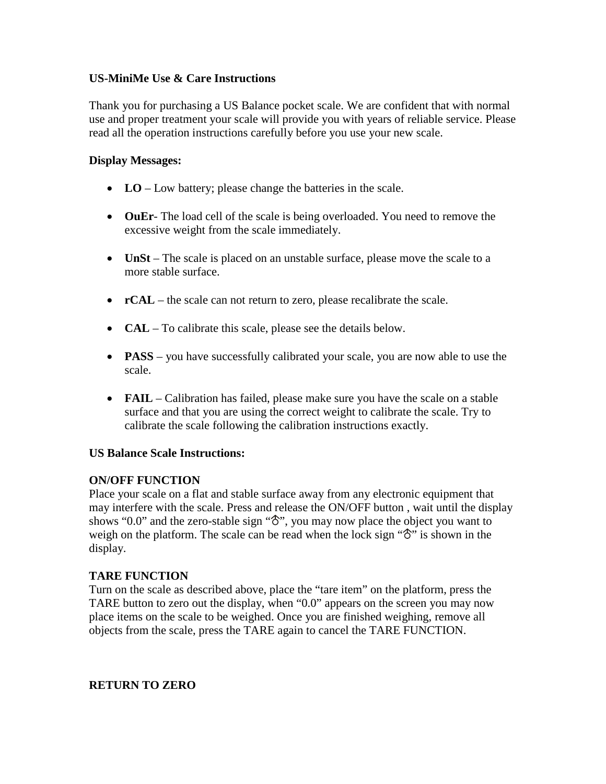### **US-MiniMe Use & Care Instructions**

Thank you for purchasing a US Balance pocket scale. We are confident that with normal use and proper treatment your scale will provide you with years of reliable service. Please read all the operation instructions carefully before you use your new scale.

#### **Display Messages:**

- **LO** Low battery; please change the batteries in the scale.
- **OuEr** The load cell of the scale is being overloaded. You need to remove the excessive weight from the scale immediately.
- **UnSt** The scale is placed on an unstable surface, please move the scale to a more stable surface.
- **rCAL** the scale can not return to zero, please recalibrate the scale.
- **CAL** To calibrate this scale, please see the details below.
- **PASS** you have successfully calibrated your scale, you are now able to use the scale.
- **FAIL** Calibration has failed, please make sure you have the scale on a stable surface and that you are using the correct weight to calibrate the scale. Try to calibrate the scale following the calibration instructions exactly.

#### **US Balance Scale Instructions:**

#### **ON/OFF FUNCTION**

Place your scale on a flat and stable surface away from any electronic equipment that may interfere with the scale. Press and release the ON/OFF button , wait until the display shows "0.0" and the zero-stable sign " $\hat{\sigma}$ ", you may now place the object you want to weigh on the platform. The scale can be read when the lock sign " $\mathcal{S}$ " is shown in the display.

#### **TARE FUNCTION**

Turn on the scale as described above, place the "tare item" on the platform, press the TARE button to zero out the display, when "0.0" appears on the screen you may now place items on the scale to be weighed. Once you are finished weighing, remove all objects from the scale, press the TARE again to cancel the TARE FUNCTION.

#### **RETURN TO ZERO**